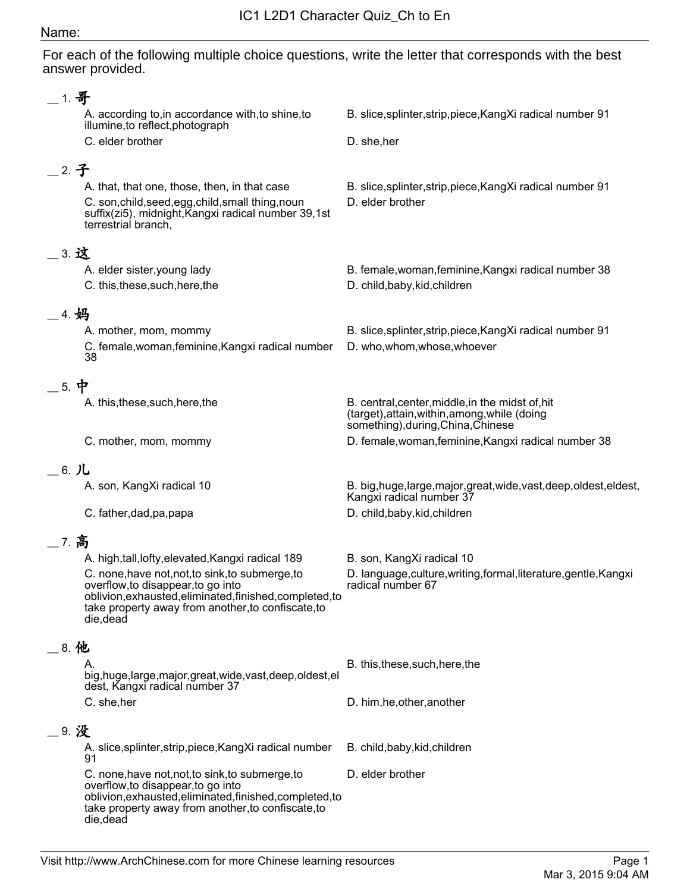## Name:

For each of the following multiple choice questions, write the letter that corresponds with the best answer provided.

| $-1.$ 哥                       |                                                                                                                                                                   |                                                                                                                                         |
|-------------------------------|-------------------------------------------------------------------------------------------------------------------------------------------------------------------|-----------------------------------------------------------------------------------------------------------------------------------------|
|                               | A. according to, in accordance with, to shine, to<br>illumine, to reflect, photograph                                                                             | B. slice, splinter, strip, piece, KangXi radical number 91                                                                              |
|                               | C. elder brother                                                                                                                                                  | D. she, her                                                                                                                             |
| _2. 子                         |                                                                                                                                                                   |                                                                                                                                         |
|                               | A. that, that one, those, then, in that case                                                                                                                      | B. slice, splinter, strip, piece, KangXi radical number 91                                                                              |
|                               | C. son, child, seed, egg, child, small thing, noun<br>suffix(zi5), midnight, Kangxi radical number 39,1st<br>terrestrial branch,                                  | D. elder brother                                                                                                                        |
| $\overline{\phantom{1}}$ 3. 这 |                                                                                                                                                                   |                                                                                                                                         |
|                               | A. elder sister, young lady                                                                                                                                       | B. female, woman, feminine, Kangxi radical number 38                                                                                    |
|                               | C. this, these, such, here, the                                                                                                                                   | D. child, baby, kid, children                                                                                                           |
| _4. 妈                         |                                                                                                                                                                   |                                                                                                                                         |
|                               | A. mother, mom, mommy                                                                                                                                             | B. slice, splinter, strip, piece, Kang Xi radical number 91                                                                             |
|                               | C. female, woman, feminine, Kangxi radical number<br>38                                                                                                           | D. who, whom, whose, whoever                                                                                                            |
| $=$ 5. 中                      |                                                                                                                                                                   |                                                                                                                                         |
|                               | A. this, these, such, here, the                                                                                                                                   | B. central, center, middle, in the midst of, hit<br>(target), attain, within, among, while (doing<br>something), during, China, Chinese |
|                               | C. mother, mom, mommy                                                                                                                                             | D. female, woman, feminine, Kangxi radical number 38                                                                                    |
|                               |                                                                                                                                                                   |                                                                                                                                         |
| $=$ 6. $J$ <b>L</b>           |                                                                                                                                                                   |                                                                                                                                         |
|                               | A. son, KangXi radical 10                                                                                                                                         | B. big, huge, large, major, great, wide, vast, deep, oldest, eldest,<br>Kangxi radical number 37                                        |
|                               | C. father, dad, pa, papa                                                                                                                                          | D. child, baby, kid, children                                                                                                           |
| _7. 高                         |                                                                                                                                                                   |                                                                                                                                         |
|                               | A. high, tall, lofty, elevated, Kangxi radical 189                                                                                                                | B. son, KangXi radical 10                                                                                                               |
|                               | C. none, have not, not, to sink, to submerge, to                                                                                                                  | D. language, culture, writing, formal, literature, gentle, Kangxi                                                                       |
|                               | overflow, to disappear, to go into<br>oblivion, exhausted, eliminated, finished, completed, to<br>take property away from another, to confiscate, to<br>die, dead | radical number 67                                                                                                                       |
| __ 8. 他                       |                                                                                                                                                                   |                                                                                                                                         |
|                               | Α.<br>big, huge, large, major, great, wide, vast, deep, oldest, el<br>dest, Kangxi radical number 37                                                              | B. this, these, such, here, the                                                                                                         |
|                               | C. she, her                                                                                                                                                       | D. him, he, other, another                                                                                                              |
| _9. 没                         |                                                                                                                                                                   |                                                                                                                                         |
|                               | A. slice, splinter, strip, piece, Kang Xi radical number<br>91                                                                                                    | B. child, baby, kid, children                                                                                                           |
|                               | C. none, have not, not, to sink, to submerge, to                                                                                                                  | D. elder brother                                                                                                                        |
|                               | overflow, to disappear, to go into<br>oblivion, exhausted, eliminated, finished, completed, to<br>take property away from another, to confiscate, to<br>die, dead |                                                                                                                                         |
|                               |                                                                                                                                                                   |                                                                                                                                         |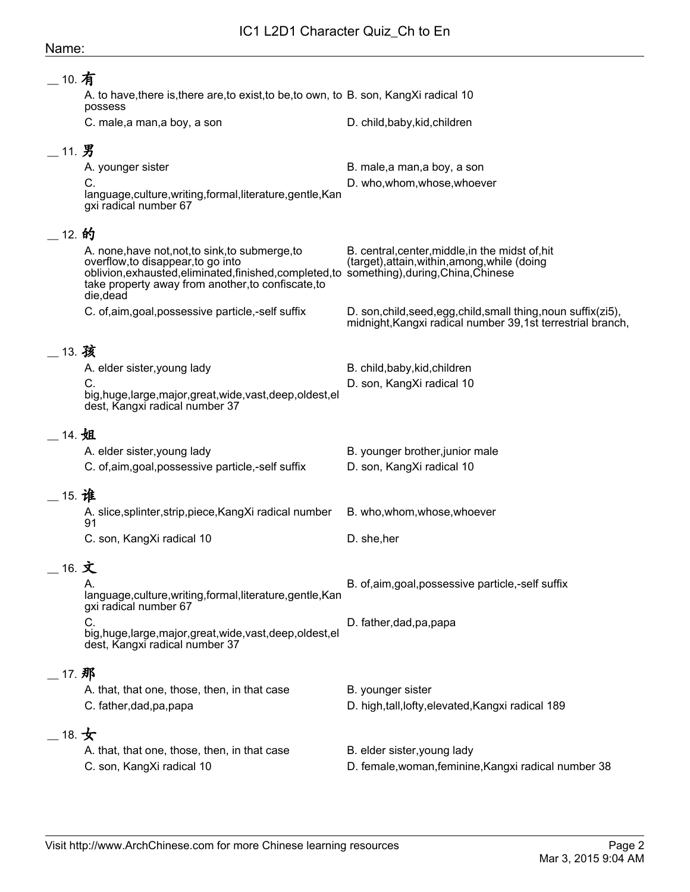## Name:

| 10. 有 |                                                                                                                                                   |                                                                                                                               |
|-------|---------------------------------------------------------------------------------------------------------------------------------------------------|-------------------------------------------------------------------------------------------------------------------------------|
|       | A. to have, there is, there are, to exist, to be, to own, to B. son, Kang Xi radical 10<br>possess                                                |                                                                                                                               |
|       | C. male, a man, a boy, a son                                                                                                                      | D. child, baby, kid, children                                                                                                 |
| 11. 男 |                                                                                                                                                   |                                                                                                                               |
|       | A. younger sister                                                                                                                                 | B. male, a man, a boy, a son                                                                                                  |
|       | C.<br>language, culture, writing, formal, literature, gentle, Kan                                                                                 | D. who, whom, whose, whoever                                                                                                  |
|       | gxi radical number 67                                                                                                                             |                                                                                                                               |
| 12. 的 |                                                                                                                                                   |                                                                                                                               |
|       | A. none, have not, not, to sink, to submerge, to<br>overflow, to disappear, to go into                                                            | B. central, center, middle, in the midst of, hit<br>(target), attain, within, among, while (doing                             |
|       | oblivion, exhausted, eliminated, finished, completed, to something), during, China, Chinese<br>take property away from another, to confiscate, to |                                                                                                                               |
|       | die, dead                                                                                                                                         |                                                                                                                               |
|       | C. of,aim,goal,possessive particle,-self suffix                                                                                                   | D. son, child, seed, egg, child, small thing, noun suffix(zi5),<br>midnight, Kangxi radical number 39,1st terrestrial branch, |
|       |                                                                                                                                                   |                                                                                                                               |
| 13. 孩 |                                                                                                                                                   |                                                                                                                               |
|       | A. elder sister, young lady<br>C.                                                                                                                 | B. child, baby, kid, children<br>D. son, KangXi radical 10                                                                    |
|       | big, huge, large, major, great, wide, vast, deep, oldest, el                                                                                      |                                                                                                                               |
|       | dest, Kangxi radical number 37                                                                                                                    |                                                                                                                               |
| 14. 姐 |                                                                                                                                                   |                                                                                                                               |
|       | A. elder sister, young lady                                                                                                                       | B. younger brother, junior male                                                                                               |
|       | C. of,aim,goal,possessive particle,-self suffix                                                                                                   | D. son, KangXi radical 10                                                                                                     |
| 15. 谁 |                                                                                                                                                   |                                                                                                                               |
|       | A. slice, splinter, strip, piece, Kang Xi radical number<br>91                                                                                    | B. who, whom, whose, whoever                                                                                                  |
|       | C. son, KangXi radical 10                                                                                                                         | D. she, her                                                                                                                   |
|       | 16. 文                                                                                                                                             |                                                                                                                               |
|       | А.                                                                                                                                                | B. of,aim,goal,possessive particle,-self suffix                                                                               |
|       | language, culture, writing, formal, literature, gentle, Kan<br>gxi radical number 67                                                              |                                                                                                                               |
|       | C.<br>big,huge,large,major,great,wide,vast,deep,oldest,el                                                                                         | D. father, dad, pa, papa                                                                                                      |
|       | dest, Kangxi radical number 37                                                                                                                    |                                                                                                                               |
| 17. 那 |                                                                                                                                                   |                                                                                                                               |
|       | A. that, that one, those, then, in that case                                                                                                      | B. younger sister                                                                                                             |
|       | C. father, dad, pa, papa                                                                                                                          | D. high,tall,lofty,elevated, Kangxi radical 189                                                                               |
|       | 18. 女                                                                                                                                             |                                                                                                                               |
|       | A. that, that one, those, then, in that case                                                                                                      | B. elder sister, young lady                                                                                                   |
|       | C. son, KangXi radical 10                                                                                                                         | D. female, woman, feminine, Kangxi radical number 38                                                                          |
|       |                                                                                                                                                   |                                                                                                                               |